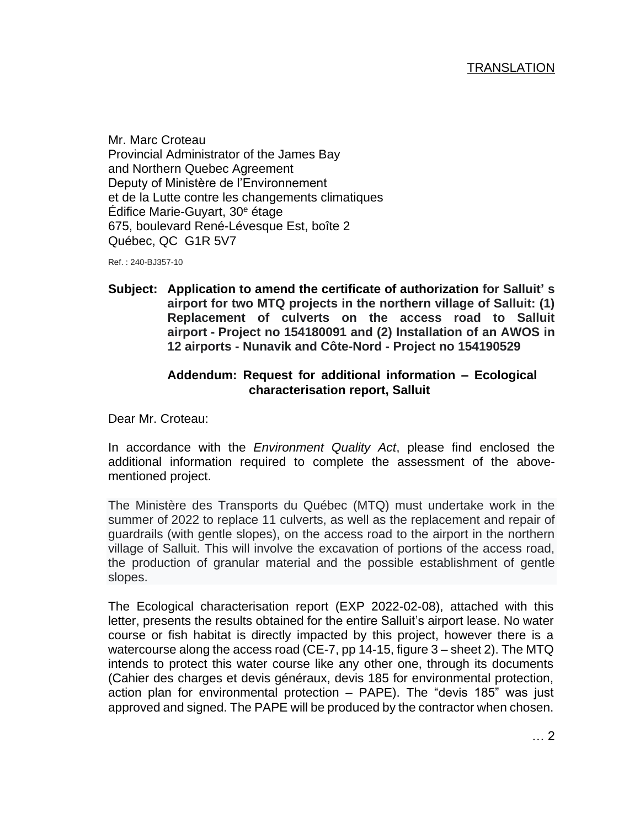Mr. Marc Croteau Provincial Administrator of the James Bay and Northern Quebec Agreement Deputy of Ministère de l'Environnement et de la Lutte contre les changements climatiques Édifice Marie-Guyart, 30<sup>e</sup> étage 675, boulevard René-Lévesque Est, boîte 2 Québec, QC G1R 5V7

Ref. : 240-BJ357-10

**Subject: Application to amend the certificate of authorization for Salluit' s airport for two MTQ projects in the northern village of Salluit: (1) Replacement of culverts on the access road to Salluit airport - Project no 154180091 and (2) Installation of an AWOS in 12 airports - Nunavik and Côte-Nord - Project no 154190529**

## **Addendum: Request for additional information – Ecological characterisation report, Salluit**

Dear Mr. Croteau:

In accordance with the *Environment Quality Act*, please find enclosed the additional information required to complete the assessment of the abovementioned project.

The Ministère des Transports du Québec (MTQ) must undertake work in the summer of 2022 to replace 11 culverts, as well as the replacement and repair of guardrails (with gentle slopes), on the access road to the airport in the northern village of Salluit. This will involve the excavation of portions of the access road, the production of granular material and the possible establishment of gentle slopes.

The Ecological characterisation report (EXP 2022-02-08), attached with this letter, presents the results obtained for the entire Salluit's airport lease. No water course or fish habitat is directly impacted by this project, however there is a watercourse along the access road (CE-7, pp 14-15, figure 3 – sheet 2). The MTQ intends to protect this water course like any other one, through its documents (Cahier des charges et devis généraux, devis 185 for environmental protection, action plan for environmental protection – PAPE). The "devis 185" was just approved and signed. The PAPE will be produced by the contractor when chosen.